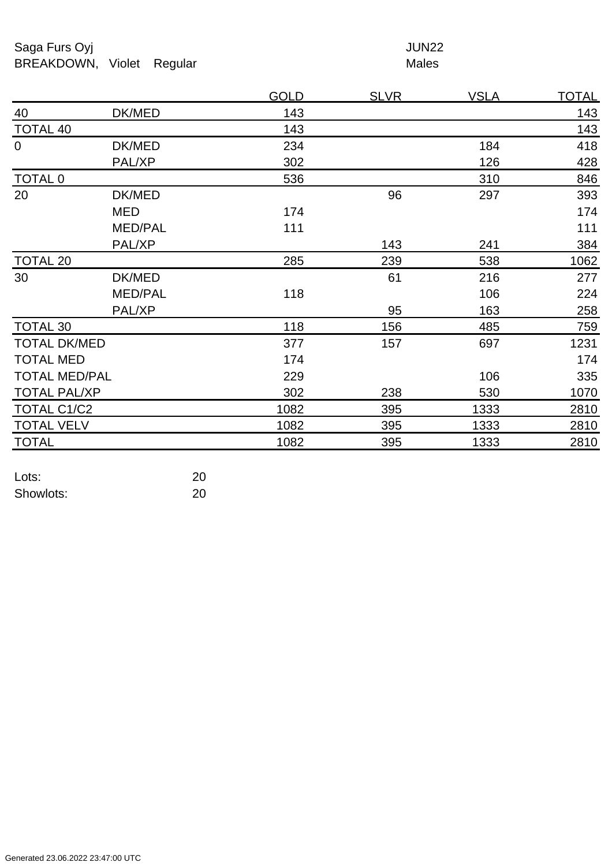Saga Furs Oyj and the Saga Furs Oyj and the Saga Furs of the Saga Furs of the Saga Furs of the Saga Furs of the Saga Furs of the Saga Furs of the Saga Furs of the Saga Furs of the Saga Furs of the Saga Furs of the Saga Fur BREAKDOWN, Violet Regular Males

|                      |                | <b>GOLD</b> | <u>SLVR</u> | <u>VSLA</u> | <u>TOTAL</u> |
|----------------------|----------------|-------------|-------------|-------------|--------------|
| 40                   | DK/MED         | 143         |             |             | 143          |
| <b>TOTAL 40</b>      |                | 143         |             |             | 143          |
| $\mathbf 0$          | DK/MED         | 234         |             | 184         | 418          |
|                      | PAL/XP         | 302         |             | 126         | 428          |
| <b>TOTAL 0</b>       |                | 536         |             | 310         | 846          |
| 20                   | DK/MED         |             | 96          | 297         | 393          |
|                      | MED            | 174         |             |             | 174          |
|                      | <b>MED/PAL</b> | 111         |             |             | 111          |
|                      | PAL/XP         |             | 143         | 241         | 384          |
| <b>TOTAL 20</b>      |                | 285         | 239         | 538         | 1062         |
| 30                   | DK/MED         |             | 61          | 216         | 277          |
|                      | <b>MED/PAL</b> | 118         |             | 106         | 224          |
|                      | PAL/XP         |             | 95          | 163         | 258          |
| <b>TOTAL 30</b>      |                | 118         | 156         | 485         | 759          |
| <b>TOTAL DK/MED</b>  |                | 377         | 157         | 697         | 1231         |
| <b>TOTAL MED</b>     |                | 174         |             |             | 174          |
| <b>TOTAL MED/PAL</b> |                | 229         |             | 106         | 335          |
| <b>TOTAL PAL/XP</b>  |                | 302         | 238         | 530         | 1070         |
| <b>TOTAL C1/C2</b>   |                | 1082        | 395         | 1333        | 2810         |
| <b>TOTAL VELV</b>    |                | 1082        | 395         | 1333        | 2810         |
| <b>TOTAL</b>         |                | 1082        | 395         | 1333        | 2810         |
|                      |                |             |             |             |              |

| Lots:     | 20 |
|-----------|----|
| Showlots: | 20 |